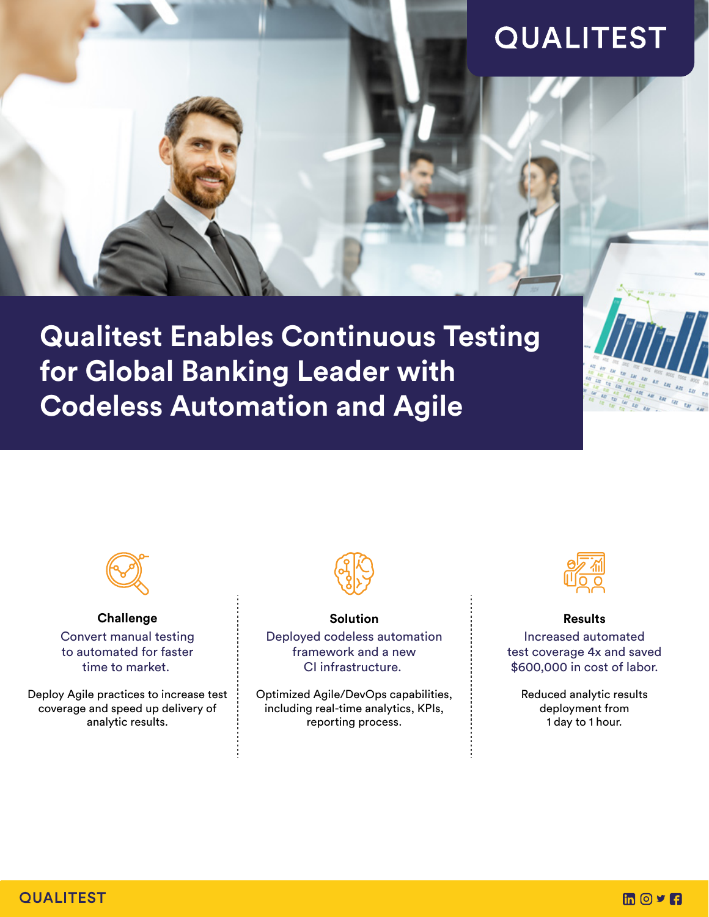# **QUALITEST**

**Qualitest Enables Continuous Testing for Global Banking Leader with Codeless Automation and Agile** 



**Challenge** Convert manual testing to automated for faster time to market.

Deploy Agile practices to increase test coverage and speed up delivery of analytic results.



**Solution**  Deployed codeless automation framework and a new CI infrastructure.

Optimized Agile/DevOps capabilities, including real-time analytics, KPIs, reporting process.



**Results** 

Increased automated test coverage 4x and saved \$600,000 in cost of labor.

Reduced analytic results deployment from 1 day to 1 hour.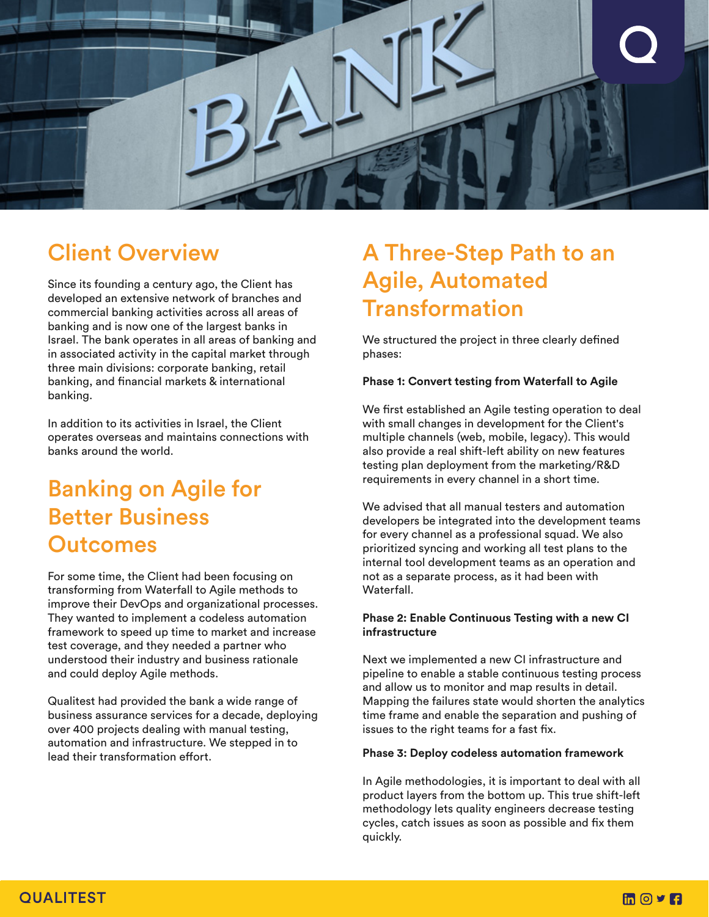

### Client Overview

Since its founding a century ago, the Client has developed an extensive network of branches and commercial banking activities across all areas of banking and is now one of the largest banks in Israel. The bank operates in all areas of banking and in associated activity in the capital market through three main divisions: corporate banking, retail banking, and financial markets & international banking.

In addition to its activities in Israel, the Client operates overseas and maintains connections with banks around the world.

### Banking on Agile for Better Business **Outcomes**

For some time, the Client had been focusing on transforming from Waterfall to Agile methods to improve their DevOps and organizational processes. They wanted to implement a codeless automation framework to speed up time to market and increase test coverage, and they needed a partner who understood their industry and business rationale and could deploy Agile methods.

Qualitest had provided the bank a wide range of business assurance services for a decade, deploying over 400 projects dealing with manual testing, automation and infrastructure. We stepped in to lead their transformation effort.

## A Three-Step Path to an Agile, Automated **Transformation**

We structured the project in three clearly defined phases:

#### **Phase 1: Convert testing from Waterfall to Agile**

We first established an Agile testing operation to deal with small changes in development for the Client's multiple channels (web, mobile, legacy). This would also provide a real shift-left ability on new features testing plan deployment from the marketing/R&D requirements in every channel in a short time.

We advised that all manual testers and automation developers be integrated into the development teams for every channel as a professional squad. We also prioritized syncing and working all test plans to the internal tool development teams as an operation and not as a separate process, as it had been with Waterfall.

#### **Phase 2: Enable Continuous Testing with a new CI infrastructure**

Next we implemented a new CI infrastructure and pipeline to enable a stable continuous testing process and allow us to monitor and map results in detail. Mapping the failures state would shorten the analytics time frame and enable the separation and pushing of issues to the right teams for a fast fix.

#### **Phase 3: Deploy codeless automation framework**

In Agile methodologies, it is important to deal with all product layers from the bottom up. This true shift-left methodology lets quality engineers decrease testing cycles, catch issues as soon as possible and fix them quickly.